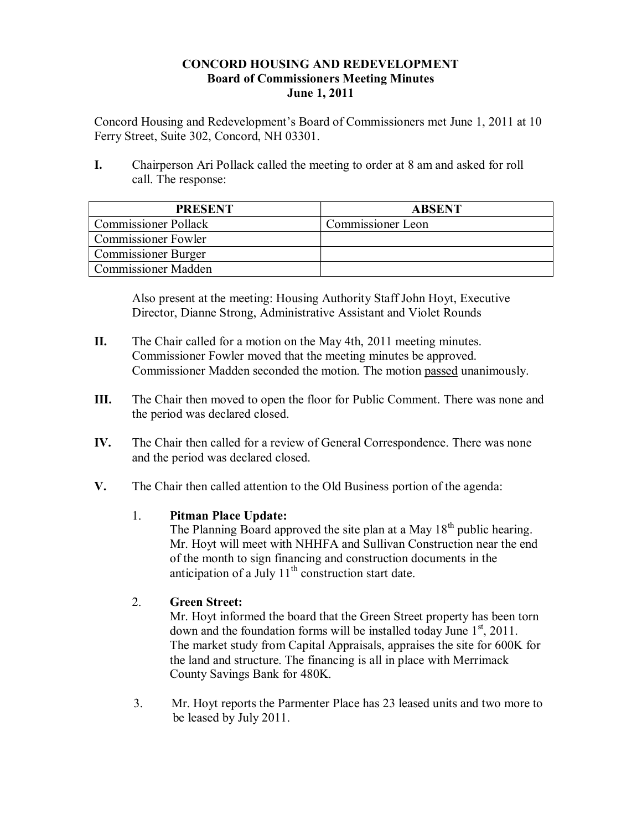## **CONCORD HOUSING AND REDEVELOPMENT Board of Commissioners Meeting Minutes June 1, 2011**

Concord Housing and Redevelopment's Board of Commissioners met June 1, 2011 at 10 Ferry Street, Suite 302, Concord, NH 03301.

**I.** Chairperson Ari Pollack called the meeting to order at 8 am and asked for roll call. The response:

| <b>PRESENT</b>              | <b>ABSENT</b>     |
|-----------------------------|-------------------|
| <b>Commissioner Pollack</b> | Commissioner Leon |
| Commissioner Fowler         |                   |
| <b>Commissioner Burger</b>  |                   |
| <b>Commissioner Madden</b>  |                   |

Also present at the meeting: Housing Authority Staff John Hoyt, Executive Director, Dianne Strong, Administrative Assistant and Violet Rounds

- **II.** The Chair called for a motion on the May 4th, 2011 meeting minutes. Commissioner Fowler moved that the meeting minutes be approved. Commissioner Madden seconded the motion. The motion passed unanimously.
- **III.** The Chair then moved to open the floor for Public Comment. There was none and the period was declared closed.
- **IV.** The Chair then called for a review of General Correspondence. There was none and the period was declared closed.
- **V.** The Chair then called attention to the Old Business portion of the agenda:

# 1. **Pitman Place Update:**

The Planning Board approved the site plan at a May  $18<sup>th</sup>$  public hearing. Mr. Hoyt will meet with NHHFA and Sullivan Construction near the end of the month to sign financing and construction documents in the anticipation of a July  $11^{th}$  construction start date.

# 2. **Green Street:**

Mr. Hoyt informed the board that the Green Street property has been torn down and the foundation forms will be installed today June  $1<sup>st</sup>$ , 2011. The market study from Capital Appraisals, appraises the site for 600K for the land and structure. The financing is all in place with Merrimack County Savings Bank for 480K.

3. Mr. Hoyt reports the Parmenter Place has 23 leased units and two more to be leased by July 2011.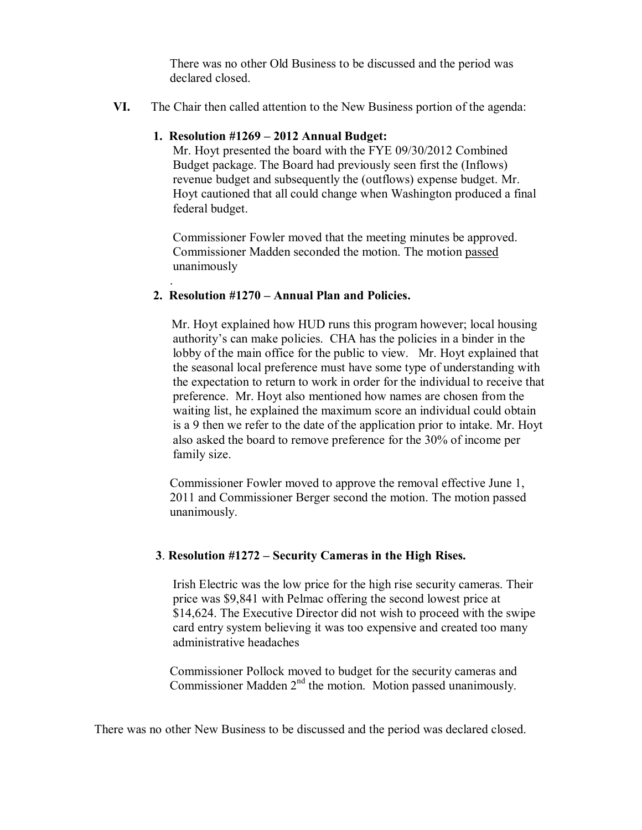There was no other Old Business to be discussed and the period was declared closed.

**VI.** The Chair then called attention to the New Business portion of the agenda:

## **1. Resolution #1269 – 2012 Annual Budget:**

Mr. Hoyt presented the board with the FYE 09/30/2012 Combined Budget package. The Board had previously seen first the (Inflows) revenue budget and subsequently the (outflows) expense budget. Mr. Hoyt cautioned that all could change when Washington produced a final federal budget.

Commissioner Fowler moved that the meeting minutes be approved. Commissioner Madden seconded the motion. The motion passed unanimously

### **2. Resolution #1270 – Annual Plan and Policies.**

.

 Mr. Hoyt explained how HUD runs this program however; local housing authority's can make policies. CHA has the policies in a binder in the lobby of the main office for the public to view. Mr. Hoyt explained that the seasonal local preference must have some type of understanding with the expectation to return to work in order for the individual to receive that preference. Mr. Hoyt also mentioned how names are chosen from the waiting list, he explained the maximum score an individual could obtain is a 9 then we refer to the date of the application prior to intake. Mr. Hoyt also asked the board to remove preference for the 30% of income per family size.

Commissioner Fowler moved to approve the removal effective June 1, 2011 and Commissioner Berger second the motion. The motion passed unanimously.

### **3**. **Resolution #1272 – Security Cameras in the High Rises.**

Irish Electric was the low price for the high rise security cameras. Their price was \$9,841 with Pelmac offering the second lowest price at \$14,624. The Executive Director did not wish to proceed with the swipe card entry system believing it was too expensive and created too many administrative headaches

Commissioner Pollock moved to budget for the security cameras and Commissioner Madden  $2<sup>nd</sup>$  the motion. Motion passed unanimously.

There was no other New Business to be discussed and the period was declared closed.